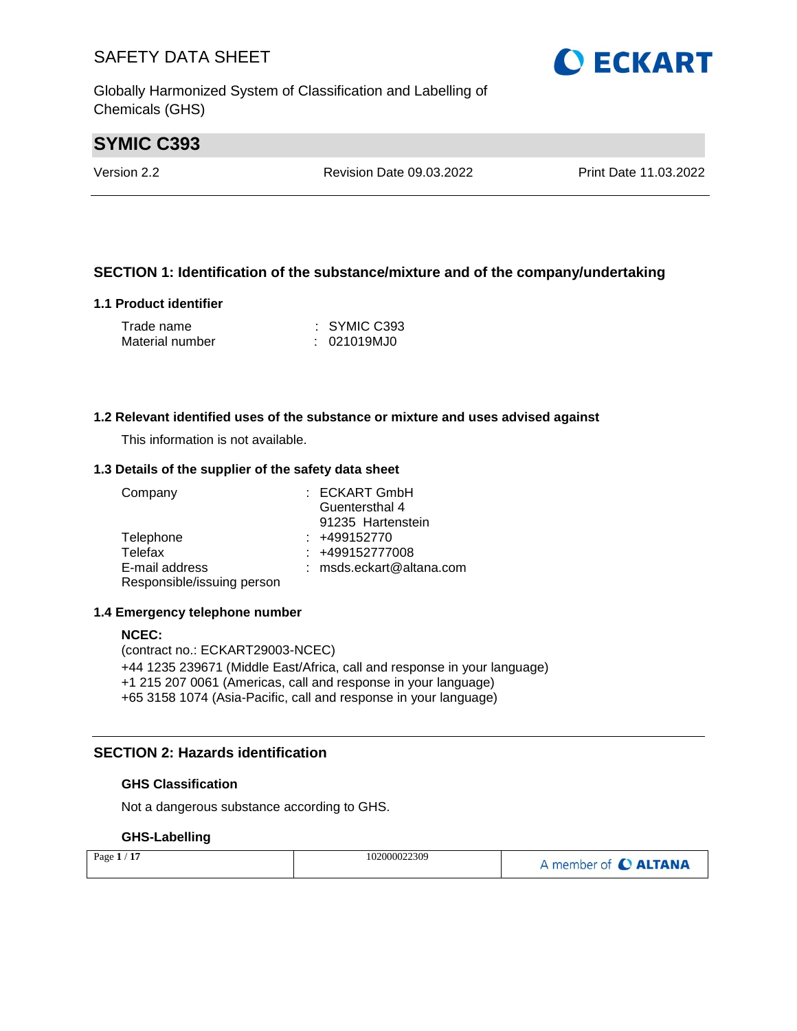Globally Harmonized System of Classification and Labelling of Chemicals (GHS)

# **SYMIC C393**

Version 2.2 Revision Date 09.03.2022 Print Date 11.03.2022

#### **SECTION 1: Identification of the substance/mixture and of the company/undertaking**

#### **1.1 Product identifier**

| Trade name      | $\therefore$ SYMIC C393 |
|-----------------|-------------------------|
| Material number | : 021019MJ0             |

#### **1.2 Relevant identified uses of the substance or mixture and uses advised against**

This information is not available.

#### **1.3 Details of the supplier of the safety data sheet**

| Company                    | : ECKART GmbH            |
|----------------------------|--------------------------|
|                            | Guentersthal 4           |
|                            | 91235 Hartenstein        |
| Telephone                  | $: +499152770$           |
| Telefax                    | : +499152777008          |
| E-mail address             | : msds.eckart@altana.com |
| Responsible/issuing person |                          |

#### **1.4 Emergency telephone number**

#### **NCEC:**

(contract no.: ECKART29003-NCEC) +44 1235 239671 (Middle East/Africa, call and response in your language) +1 215 207 0061 (Americas, call and response in your language) +65 3158 1074 (Asia-Pacific, call and response in your language)

#### **SECTION 2: Hazards identification**

#### **GHS Classification**

Not a dangerous substance according to GHS.

#### **GHS-Labelling**

| Page $1/17$ | 102000022309 | A member of C ALTANA |
|-------------|--------------|----------------------|
|-------------|--------------|----------------------|

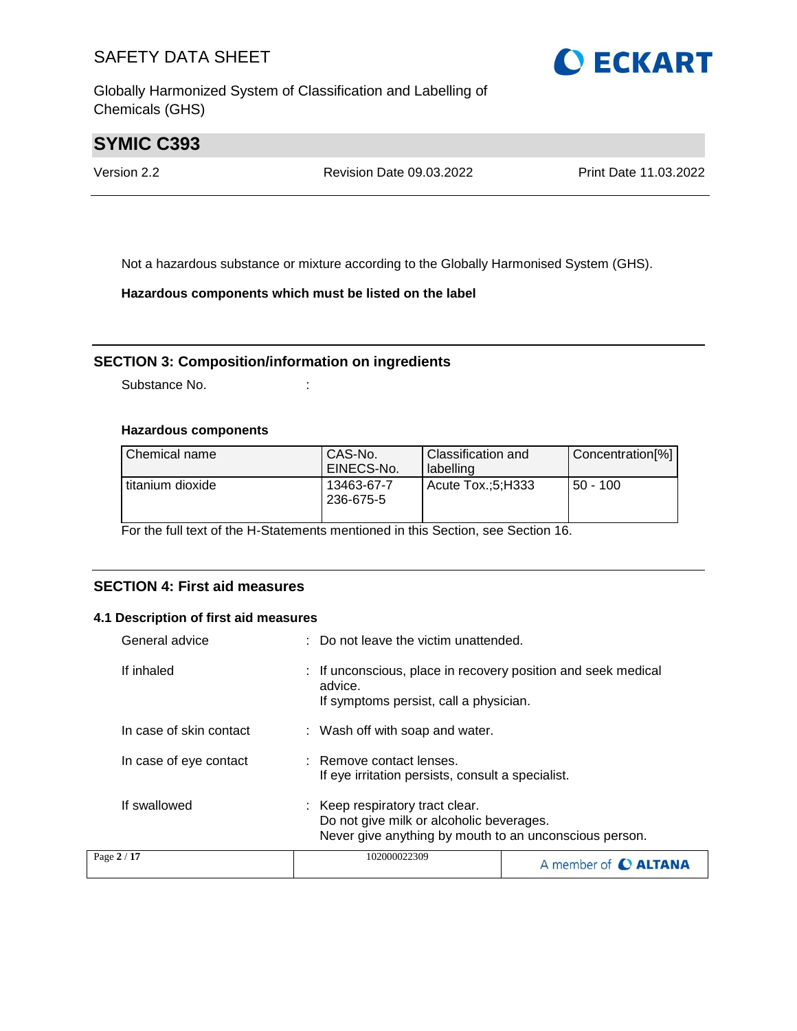Globally Harmonized System of Classification and Labelling of Chemicals (GHS)



# **SYMIC C393**

Version 2.2 Revision Date 09.03.2022 Print Date 11.03.2022

Not a hazardous substance or mixture according to the Globally Harmonised System (GHS).

**Hazardous components which must be listed on the label**

#### **SECTION 3: Composition/information on ingredients**

Substance No. **:** :

#### **Hazardous components**

| Chemical name    | CAS-No.<br>EINECS-No.   | Classification and<br>labelling | Concentration[%] |
|------------------|-------------------------|---------------------------------|------------------|
| titanium dioxide | 13463-67-7<br>236-675-5 | Acute Tox.:5:H333               | $50 - 100$       |

For the full text of the H-Statements mentioned in this Section, see Section 16.

#### **SECTION 4: First aid measures**

#### **4.1 Description of first aid measures**

| General advice          | : Do not leave the victim unattended.                                                                                                 |  |
|-------------------------|---------------------------------------------------------------------------------------------------------------------------------------|--|
| If inhaled              | If unconscious, place in recovery position and seek medical<br>advice.<br>If symptoms persist, call a physician.                      |  |
| In case of skin contact | : Wash off with soap and water.                                                                                                       |  |
| In case of eye contact  | : Remove contact lenses.<br>If eye irritation persists, consult a specialist.                                                         |  |
| If swallowed            | : Keep respiratory tract clear.<br>Do not give milk or alcoholic beverages.<br>Never give anything by mouth to an unconscious person. |  |
| Page 2 / 17             | 102000022309<br>A member of <b>C ALTANA</b>                                                                                           |  |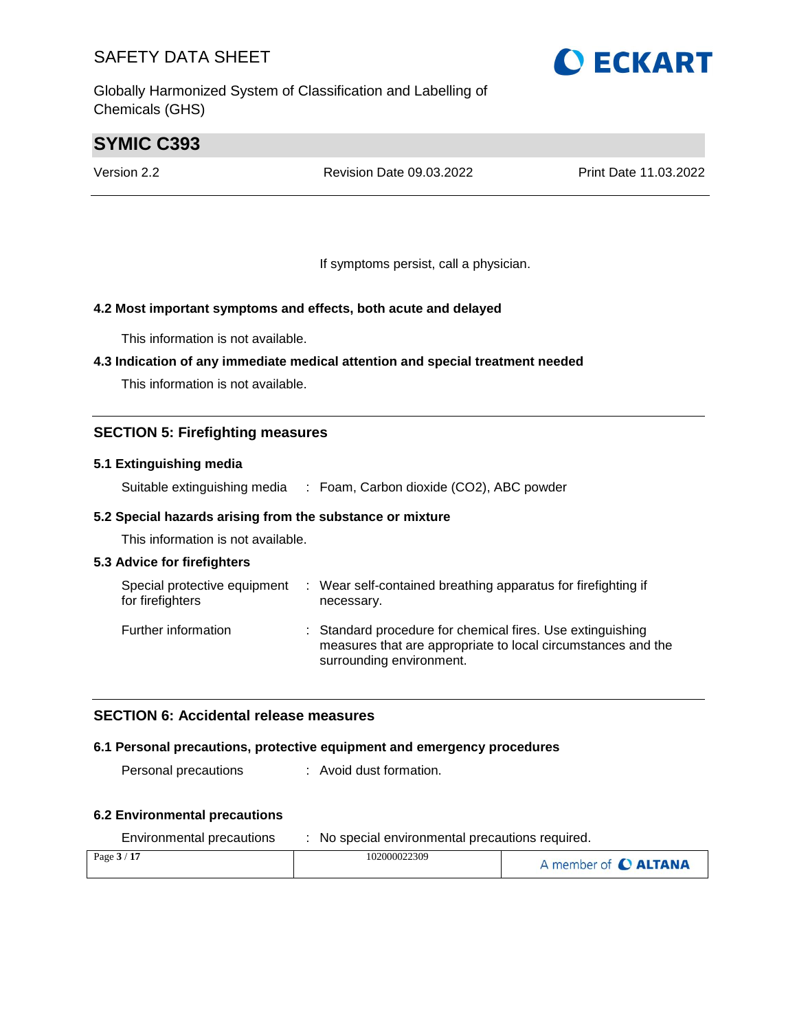Globally Harmonized System of Classification and Labelling of Chemicals (GHS)

# **O ECKART**

# **SYMIC C393**

Version 2.2 Revision Date 09.03.2022 Print Date 11.03.2022

If symptoms persist, call a physician.

#### **4.2 Most important symptoms and effects, both acute and delayed**

This information is not available.

#### **4.3 Indication of any immediate medical attention and special treatment needed**

This information is not available.

#### **SECTION 5: Firefighting measures**

#### **5.1 Extinguishing media**

Suitable extinguishing media : Foam, Carbon dioxide (CO2), ABC powder

#### **5.2 Special hazards arising from the substance or mixture**

This information is not available.

#### **5.3 Advice for firefighters**

| Special protective equipment<br>for firefighters | ÷ | Wear self-contained breathing apparatus for firefighting if<br>necessary.                                                                              |
|--------------------------------------------------|---|--------------------------------------------------------------------------------------------------------------------------------------------------------|
| Further information                              |   | : Standard procedure for chemical fires. Use extinguishing<br>measures that are appropriate to local circumstances and the<br>surrounding environment. |

#### **SECTION 6: Accidental release measures**

#### **6.1 Personal precautions, protective equipment and emergency procedures**

Personal precautions : Avoid dust formation.

#### **6.2 Environmental precautions**

| Environmental precautions | No special environmental precautions required. |                      |
|---------------------------|------------------------------------------------|----------------------|
| Page $3/17$               | 102000022309                                   | A member of C ALTANA |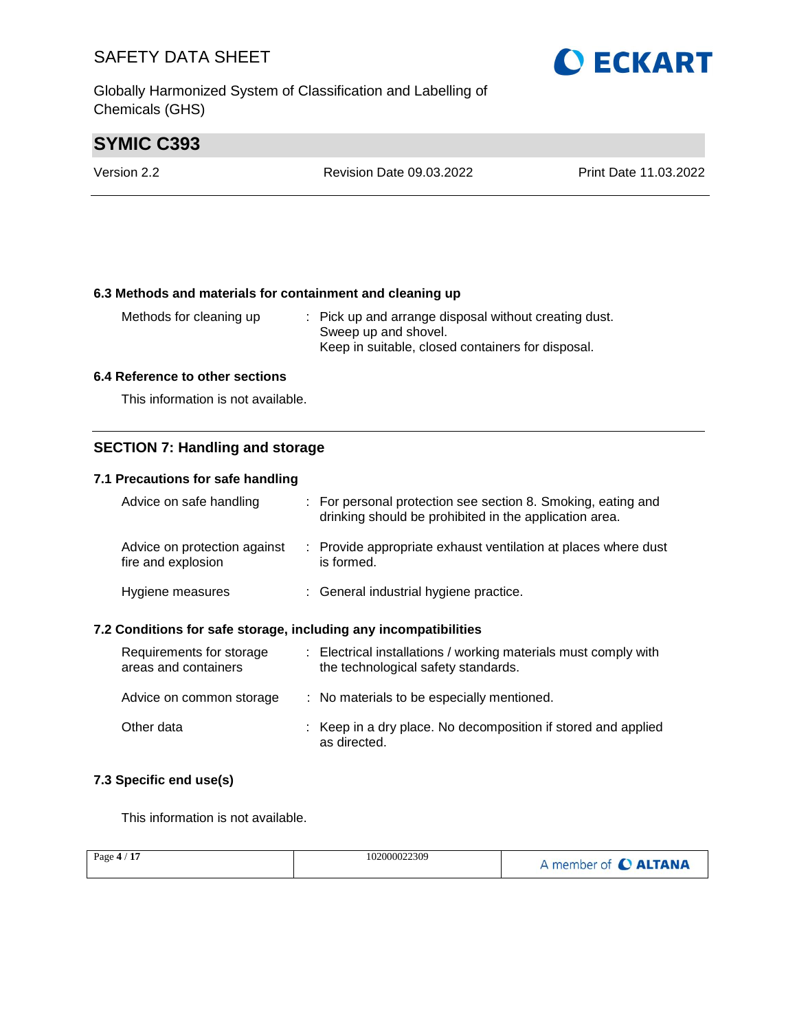Globally Harmonized System of Classification and Labelling of Chemicals (GHS)

# **SYMIC C393**

| Version 2.2 | Revision Date 09.03.2022 | <b>Print Date 11.03.2022</b> |
|-------------|--------------------------|------------------------------|
|             |                          |                              |

#### **6.3 Methods and materials for containment and cleaning up**

| Methods for cleaning up | : Pick up and arrange disposal without creating dust. |
|-------------------------|-------------------------------------------------------|
|                         | Sweep up and shovel.                                  |
|                         | Keep in suitable, closed containers for disposal.     |

#### **6.4 Reference to other sections**

This information is not available.

#### **SECTION 7: Handling and storage**

#### **7.1 Precautions for safe handling**

| Advice on safe handling                            | : For personal protection see section 8. Smoking, eating and<br>drinking should be prohibited in the application area. |
|----------------------------------------------------|------------------------------------------------------------------------------------------------------------------------|
| Advice on protection against<br>fire and explosion | : Provide appropriate exhaust ventilation at places where dust<br>is formed.                                           |
| Hygiene measures                                   | : General industrial hygiene practice.                                                                                 |

#### **7.2 Conditions for safe storage, including any incompatibilities**

| Requirements for storage<br>areas and containers | : Electrical installations / working materials must comply with<br>the technological safety standards. |
|--------------------------------------------------|--------------------------------------------------------------------------------------------------------|
| Advice on common storage                         | : No materials to be especially mentioned.                                                             |
| Other data                                       | : Keep in a dry place. No decomposition if stored and applied<br>as directed.                          |

#### **7.3 Specific end use(s)**

This information is not available.

| Page $4/17$ | 102000022309 | A member of C ALTANA |
|-------------|--------------|----------------------|
|             |              |                      |

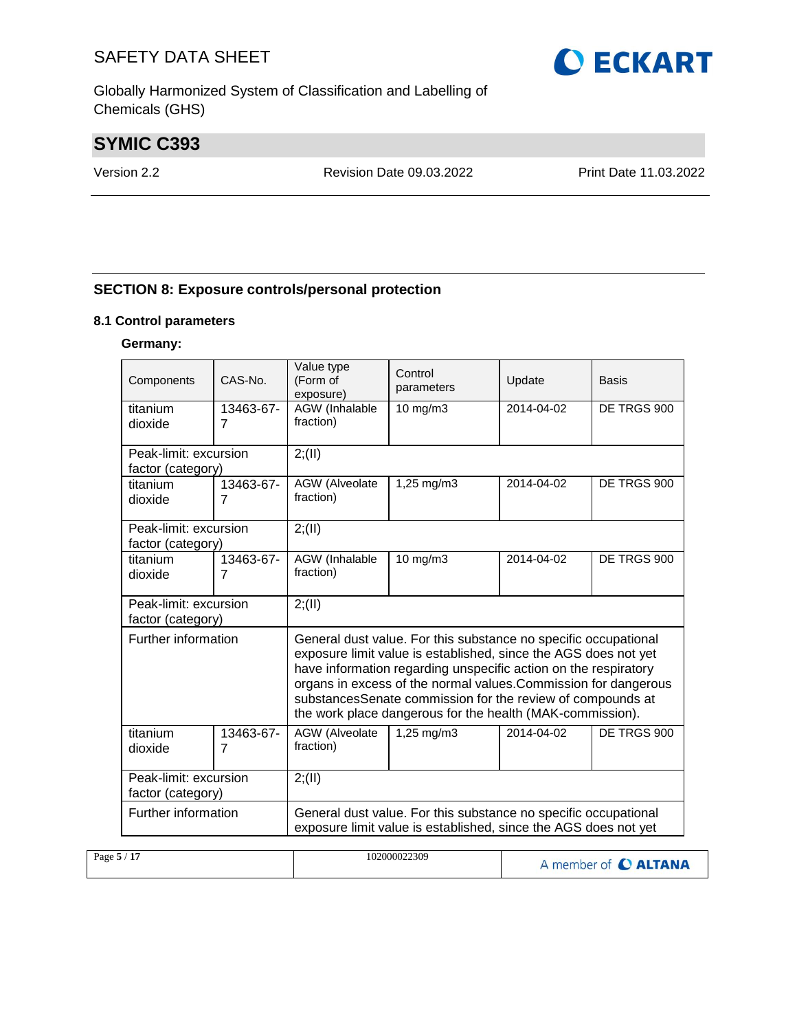Globally Harmonized System of Classification and Labelling of Chemicals (GHS)

# **SYMIC C393**

Version 2.2 Revision Date 09.03.2022 Print Date 11.03.2022

#### **SECTION 8: Exposure controls/personal protection**

#### **8.1 Control parameters**

#### **Germany:**

| Components                                                                                                                                                                                                                                                                                                                                                                                                                 | $CAS-N0$ .                  | Value type<br>(Form of<br>exposure) | Control<br>parameters                                                                                                              | Update     | Basis       |
|----------------------------------------------------------------------------------------------------------------------------------------------------------------------------------------------------------------------------------------------------------------------------------------------------------------------------------------------------------------------------------------------------------------------------|-----------------------------|-------------------------------------|------------------------------------------------------------------------------------------------------------------------------------|------------|-------------|
| titanium<br>dioxide                                                                                                                                                                                                                                                                                                                                                                                                        | 13463-67-<br>$\overline{7}$ | AGW (Inhalable<br>fraction)         | 10 mg/m3                                                                                                                           | 2014-04-02 | DE TRGS 900 |
| Peak-limit: excursion<br>factor (category)                                                                                                                                                                                                                                                                                                                                                                                 |                             | 2; (II)                             |                                                                                                                                    |            |             |
| titanium<br>dioxide                                                                                                                                                                                                                                                                                                                                                                                                        | 13463-67-<br>7              | AGW (Alveolate<br>fraction)         | 1,25 mg/m3                                                                                                                         | 2014-04-02 | DE TRGS 900 |
| Peak-limit: excursion<br>factor (category)                                                                                                                                                                                                                                                                                                                                                                                 |                             | 2; (II)                             |                                                                                                                                    |            |             |
| titanium<br>dioxide                                                                                                                                                                                                                                                                                                                                                                                                        | 13463-67-<br>$\overline{7}$ | <b>AGW</b> (Inhalable<br>fraction)  | 10 mg/m3                                                                                                                           | 2014-04-02 | DE TRGS 900 |
| Peak-limit: excursion<br>factor (category)                                                                                                                                                                                                                                                                                                                                                                                 |                             | 2; (II)                             |                                                                                                                                    |            |             |
| Further information<br>General dust value. For this substance no specific occupational<br>exposure limit value is established, since the AGS does not yet<br>have information regarding unspecific action on the respiratory<br>organs in excess of the normal values. Commission for dangerous<br>substancesSenate commission for the review of compounds at<br>the work place dangerous for the health (MAK-commission). |                             |                                     |                                                                                                                                    |            |             |
| titanium<br>dioxide                                                                                                                                                                                                                                                                                                                                                                                                        | 13463-67-<br>$\overline{7}$ | AGW (Alveolate<br>fraction)         | $1,25 \, \text{mg/m}$ 3                                                                                                            | 2014-04-02 | DE TRGS 900 |
| Peak-limit: excursion<br>factor (category)                                                                                                                                                                                                                                                                                                                                                                                 |                             | 2; (II)                             |                                                                                                                                    |            |             |
| Further information                                                                                                                                                                                                                                                                                                                                                                                                        |                             |                                     | General dust value. For this substance no specific occupational<br>exposure limit value is established, since the AGS does not yet |            |             |

| Page $5/17$ | 102000022309 | A member of C ALTANA |
|-------------|--------------|----------------------|
|             |              |                      |

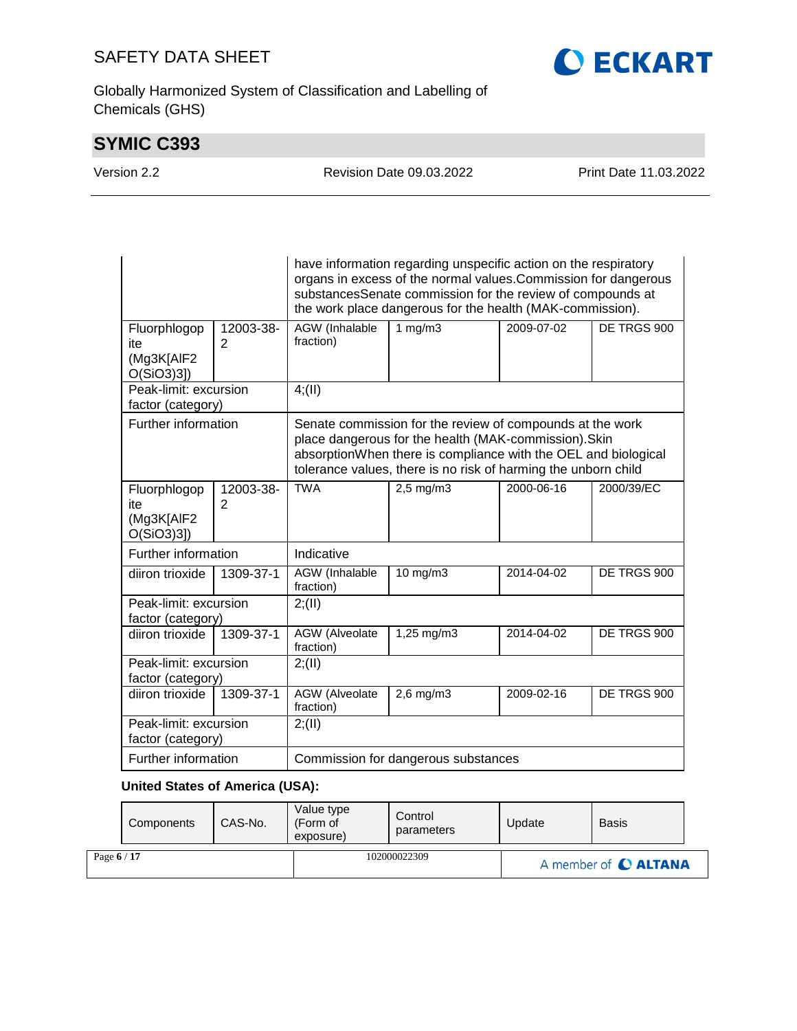Globally Harmonized System of Classification and Labelling of Chemicals (GHS)

# **SYMIC C393**

|  |  |  |  | Version 2.2 |  |
|--|--|--|--|-------------|--|
|--|--|--|--|-------------|--|

Revision Date 09.03.2022 Print Date 11.03.2022

**O ECKART** 

|                                                |                             | have information regarding unspecific action on the respiratory<br>organs in excess of the normal values. Commission for dangerous<br>substancesSenate commission for the review of compounds at<br>the work place dangerous for the health (MAK-commission). |                                           |            |             |  |  |  |
|------------------------------------------------|-----------------------------|---------------------------------------------------------------------------------------------------------------------------------------------------------------------------------------------------------------------------------------------------------------|-------------------------------------------|------------|-------------|--|--|--|
| Fluorphlogop<br>ite<br>(Mg3K[AlF2<br>O(SiO3)3] | 12003-38-<br>2              | <b>AGW</b> (Inhalable<br>fraction)                                                                                                                                                                                                                            | $1$ mg/m $3$<br>2009-07-02<br>DE TRGS 900 |            |             |  |  |  |
| Peak-limit: excursion<br>factor (category)     |                             | 4(11)                                                                                                                                                                                                                                                         |                                           |            |             |  |  |  |
| Further information                            |                             | Senate commission for the review of compounds at the work<br>place dangerous for the health (MAK-commission). Skin<br>absorptionWhen there is compliance with the OEL and biological<br>tolerance values, there is no risk of harming the unborn child        |                                           |            |             |  |  |  |
| Fluorphlogop<br>ite<br>(Mg3K[AlF2<br>O(SiO3)3] | 12003-38-<br>$\overline{2}$ | <b>TWA</b><br>2000-06-16<br>2000/39/EC<br>$2,5$ mg/m $3$                                                                                                                                                                                                      |                                           |            |             |  |  |  |
| Further information                            |                             | Indicative                                                                                                                                                                                                                                                    |                                           |            |             |  |  |  |
| diiron trioxide                                | 1309-37-1                   | AGW (Inhalable<br>10 mg/m3<br>2014-04-02<br>DE TRGS 900<br>fraction)                                                                                                                                                                                          |                                           |            |             |  |  |  |
| Peak-limit: excursion<br>factor (category)     |                             | 2; (II)                                                                                                                                                                                                                                                       |                                           |            |             |  |  |  |
| diiron trioxide                                | 1309-37-1                   | <b>AGW</b> (Alveolate<br>$1,25$ mg/m3<br>2014-04-02<br>DE TRGS 900<br>fraction)                                                                                                                                                                               |                                           |            |             |  |  |  |
| Peak-limit: excursion<br>factor (category)     |                             | 2; (II)                                                                                                                                                                                                                                                       |                                           |            |             |  |  |  |
| diiron trioxide                                | 1309-37-1                   | <b>AGW</b> (Alveolate<br>fraction)                                                                                                                                                                                                                            | $2,6$ mg/m $3$                            | 2009-02-16 | DE TRGS 900 |  |  |  |
| Peak-limit: excursion<br>factor (category)     |                             | 2; (II)                                                                                                                                                                                                                                                       |                                           |            |             |  |  |  |
| Further information                            |                             | Commission for dangerous substances                                                                                                                                                                                                                           |                                           |            |             |  |  |  |

### **United States of America (USA):**

|             | Components | CAS-No. | Value type<br>(Form of<br>exposure) | Control<br>parameters | Update | <b>Basis</b>         |  |
|-------------|------------|---------|-------------------------------------|-----------------------|--------|----------------------|--|
| Page $6/17$ |            |         |                                     | 102000022309          |        | A member of C ALTANA |  |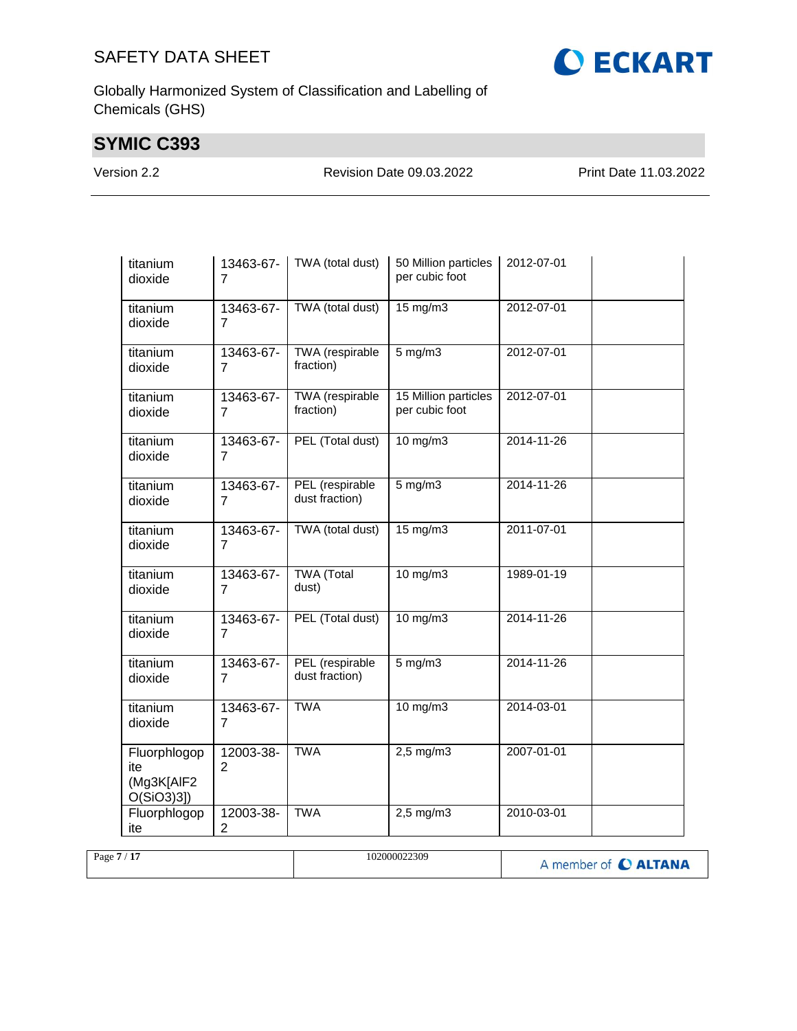

# **SYMIC C393**

Version 2.2 Revision Date 09.03.2022 Print Date 11.03.2022

**CECKART** 

| titanium<br>dioxide                               | 13463-67-<br>7              | TWA (total dust)                  | 50 Million particles<br>per cubic foot | 2012-07-01 |  |
|---------------------------------------------------|-----------------------------|-----------------------------------|----------------------------------------|------------|--|
| titanium<br>dioxide                               | 13463-67-<br>$\overline{7}$ | TWA (total dust)                  | 15 mg/m3                               | 2012-07-01 |  |
| titanium<br>dioxide                               | 13463-67-<br>7              | TWA (respirable<br>fraction)      | $5$ mg/m $3$                           | 2012-07-01 |  |
| titanium<br>dioxide                               | 13463-67-<br>$\overline{7}$ | TWA (respirable<br>fraction)      | 15 Million particles<br>per cubic foot | 2012-07-01 |  |
| titanium<br>dioxide                               | 13463-67-<br>7              | PEL (Total dust)                  | 10 mg/m3                               | 2014-11-26 |  |
| titanium<br>dioxide                               | 13463-67-<br>$\overline{7}$ | PEL (respirable<br>dust fraction) | $5$ mg/m $3$                           | 2014-11-26 |  |
| titanium<br>dioxide                               | 13463-67-<br>$\overline{7}$ | TWA (total dust)                  | 15 mg/m3                               | 2011-07-01 |  |
| titanium<br>dioxide                               | 13463-67-<br>$\overline{7}$ | <b>TWA</b> (Total<br>dust)        | $10$ mg/m $3$                          | 1989-01-19 |  |
| titanium<br>dioxide                               | 13463-67-<br>7              | PEL (Total dust)                  | $10$ mg/m $3$                          | 2014-11-26 |  |
| titanium<br>dioxide                               | 13463-67-<br>$\overline{7}$ | PEL (respirable<br>dust fraction) | $5$ mg/m $3$                           | 2014-11-26 |  |
| titanium<br>dioxide                               | 13463-67-<br>7              | <b>TWA</b>                        | $10$ mg/m $3$                          | 2014-03-01 |  |
| Fluorphlogop<br>ite<br>(Mg3K[AIF2<br>$O(SiO3)3$ ] | 12003-38-<br>2              | <b>TWA</b>                        | $2,5$ mg/m $3$                         | 2007-01-01 |  |
| Fluorphlogop<br>ite                               | 12003-38-<br>$\overline{2}$ | <b>TWA</b>                        | $2,5$ mg/m $3$                         | 2010-03-01 |  |

| Page $7/17$ | 102000022309 | A member of C ALTANA |
|-------------|--------------|----------------------|
|             |              |                      |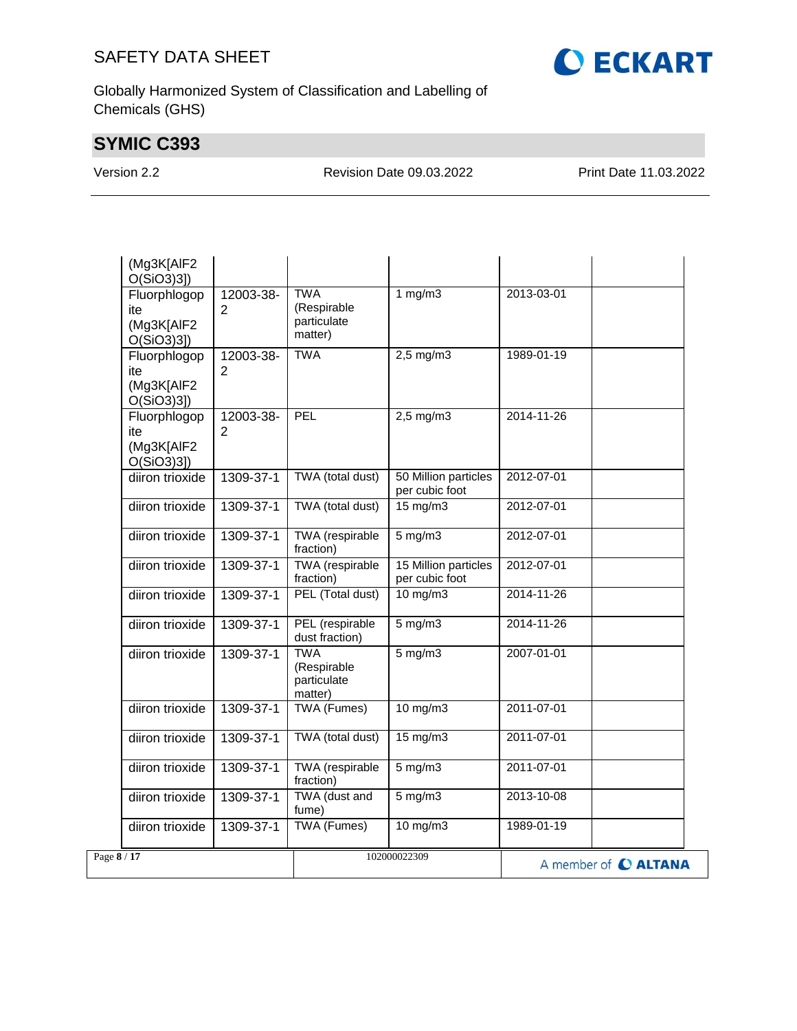

Globally Harmonized System of Classification and Labelling of Chemicals (GHS)

# **SYMIC C393**

Version 2.2 Revision Date 09.03.2022 Print Date 11.03.2022

| (Mg3K[AIF2<br>O(SiO3)3]                           |                             |                                                     |                                        |                      |
|---------------------------------------------------|-----------------------------|-----------------------------------------------------|----------------------------------------|----------------------|
| Fluorphlogop<br>ite<br>(Mg3K[AIF2<br>O(SiO3)3]    | 12003-38-<br>$\overline{2}$ | <b>TWA</b><br>(Respirable<br>particulate<br>matter) | 1 $mg/m3$                              | 2013-03-01           |
| Fluorphlogop<br>ite<br>(Mg3K[AlF2<br>$O(SiO3)3$ ] | 12003-38-<br>2              | <b>TWA</b>                                          | $2,5$ mg/m $3$                         | 1989-01-19           |
| Fluorphlogop<br>ite<br>(Mg3K[AlF2<br>O(SiO3)3]    | 12003-38-<br>$\overline{2}$ | PEL                                                 | $2,5$ mg/m3                            | 2014-11-26           |
| diiron trioxide                                   | 1309-37-1                   | TWA (total dust)                                    | 50 Million particles<br>per cubic foot | 2012-07-01           |
| diiron trioxide                                   | 1309-37-1                   | TWA (total dust)                                    | $15 \text{ mg/m}$                      | 2012-07-01           |
| diiron trioxide                                   | 1309-37-1                   | <b>TWA</b> (respirable<br>fraction)                 | $5 \text{ mg/m}$                       | 2012-07-01           |
| diiron trioxide                                   | 1309-37-1                   | TWA (respirable<br>fraction)                        | 15 Million particles<br>per cubic foot | 2012-07-01           |
| diiron trioxide                                   | 1309-37-1                   | PEL (Total dust)                                    | $10$ mg/m $3$                          | 2014-11-26           |
| diiron trioxide                                   | 1309-37-1                   | PEL (respirable<br>dust fraction)                   | $5$ mg/m $3$                           | 2014-11-26           |
| diiron trioxide                                   | 1309-37-1                   | <b>TWA</b><br>(Respirable<br>particulate<br>matter) | $5$ mg/m $3$                           | 2007-01-01           |
| diiron trioxide                                   | 1309-37-1                   | <b>TWA (Fumes)</b>                                  | $10$ mg/m $3$                          | 2011-07-01           |
| diiron trioxide                                   | 1309-37-1                   | TWA (total dust)                                    | $15 \text{ mg/m}$                      | 2011-07-01           |
| diiron trioxide                                   | 1309-37-1                   | <b>TWA</b> (respirable<br>fraction)                 | $5 \text{ mg/m}$                       | 2011-07-01           |
| diiron trioxide                                   | 1309-37-1                   | TWA (dust and<br>fume)                              | $5$ mg/m $3$                           | 2013-10-08           |
| diiron trioxide                                   | 1309-37-1                   | <b>TWA</b> (Fumes)                                  | $10$ mg/m $3$                          | 1989-01-19           |
| Page $8/17$                                       |                             |                                                     | 102000022309                           | A member of C ALTANA |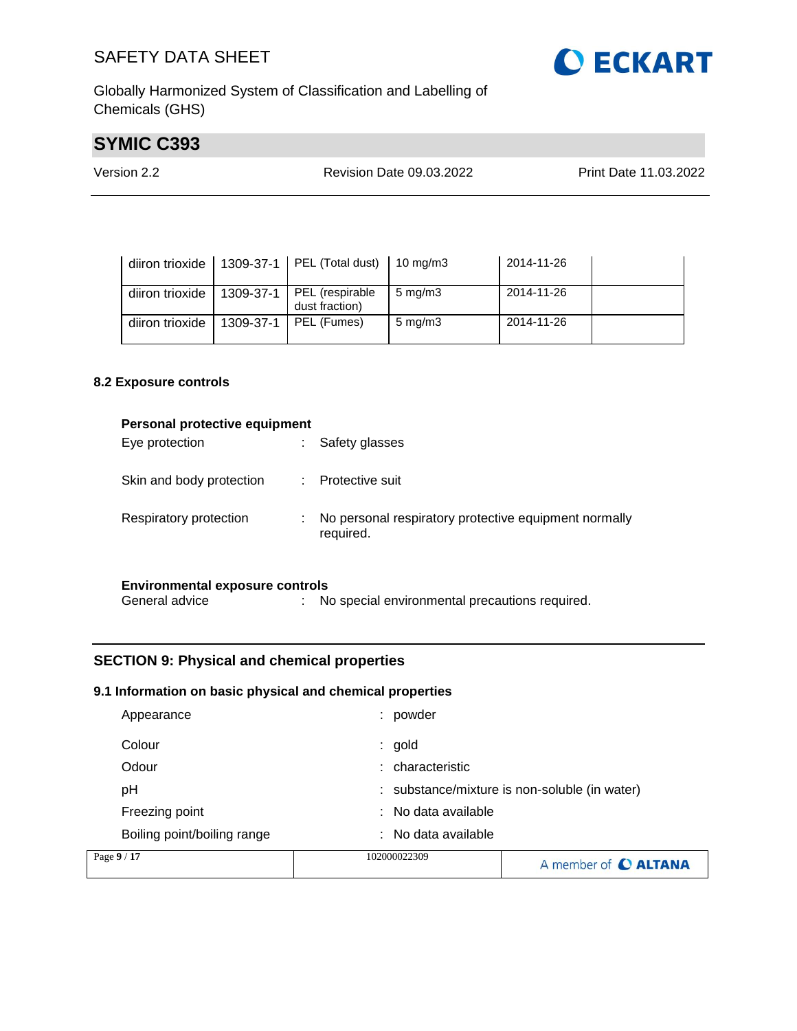

Globally Harmonized System of Classification and Labelling of Chemicals (GHS)

# **SYMIC C393**

| Version 2.2<br>Revision Date 09.03.2022 | Print Date 11.03.2022 |
|-----------------------------------------|-----------------------|
|-----------------------------------------|-----------------------|

| diiron trioxide |           | 1309-37-1   PEL (Total dust)   10 mg/m3 |                    | 2014-11-26 |  |
|-----------------|-----------|-----------------------------------------|--------------------|------------|--|
| diiron trioxide | 1309-37-1 | PEL (respirable<br>dust fraction)       | $5 \text{ mg/m}$   | 2014-11-26 |  |
| diiron trioxide | 1309-37-1 | PEL (Fumes)                             | $5 \text{ mg/m}$ 3 | 2014-11-26 |  |

#### **8.2 Exposure controls**

| Personal protective equipment<br>Eye protection          | Safety glasses                                                     |
|----------------------------------------------------------|--------------------------------------------------------------------|
| Skin and body protection                                 | Protective suit                                                    |
| Respiratory protection                                   | No personal respiratory protective equipment normally<br>required. |
| <b>Environmental exposure controls</b><br>General advice | No special environmental precautions required.                     |

#### **SECTION 9: Physical and chemical properties**

#### **9.1 Information on basic physical and chemical properties**

| Page 9 / 17                 | 102000022309                                  | A member of C ALTANA |  |
|-----------------------------|-----------------------------------------------|----------------------|--|
| Boiling point/boiling range | : No data available                           |                      |  |
| Freezing point              | : No data available                           |                      |  |
| рH                          | : substance/mixture is non-soluble (in water) |                      |  |
| Odour                       | characteristic<br>t.                          |                      |  |
| Colour                      | $:$ gold                                      |                      |  |
| Appearance                  | powder                                        |                      |  |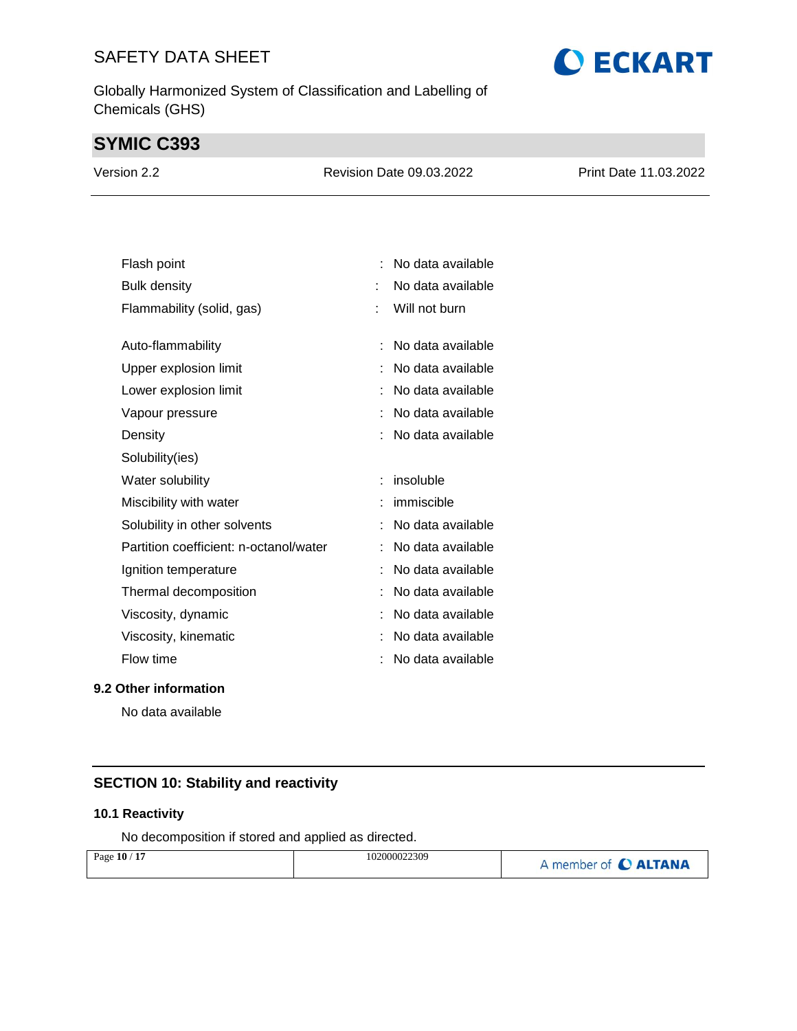Globally Harmonized System of Classification and Labelling of Chemicals (GHS)

# **SYMIC C393**

| Version 2.2 | Revision Date 09.03.2022 | <b>Print Date 11.03.2022</b> |
|-------------|--------------------------|------------------------------|
|             |                          |                              |

| Flash point                            |   | No data available |
|----------------------------------------|---|-------------------|
| <b>Bulk density</b>                    | t | No data available |
| Flammability (solid, gas)              | t | Will not burn     |
|                                        |   |                   |
| Auto-flammability                      |   | No data available |
| Upper explosion limit                  |   | No data available |
| Lower explosion limit                  |   | No data available |
| Vapour pressure                        |   | No data available |
| Density                                |   | No data available |
| Solubility(ies)                        |   |                   |
| Water solubility                       |   | insoluble         |
|                                        |   |                   |
| Miscibility with water                 |   | immiscible        |
| Solubility in other solvents           |   | No data available |
| Partition coefficient: n-octanol/water |   | No data available |
| Ignition temperature                   |   | No data available |
| Thermal decomposition                  |   | No data available |
| Viscosity, dynamic                     |   | No data available |
| Viscosity, kinematic                   |   | No data available |
| Flow time                              |   | No data available |

#### **9.2 Other information**

No data available

### **SECTION 10: Stability and reactivity**

#### **10.1 Reactivity**

No decomposition if stored and applied as directed.

| Page 10 / 17 | 102000022309 | A member of C ALTANA |
|--------------|--------------|----------------------|
|              |              |                      |

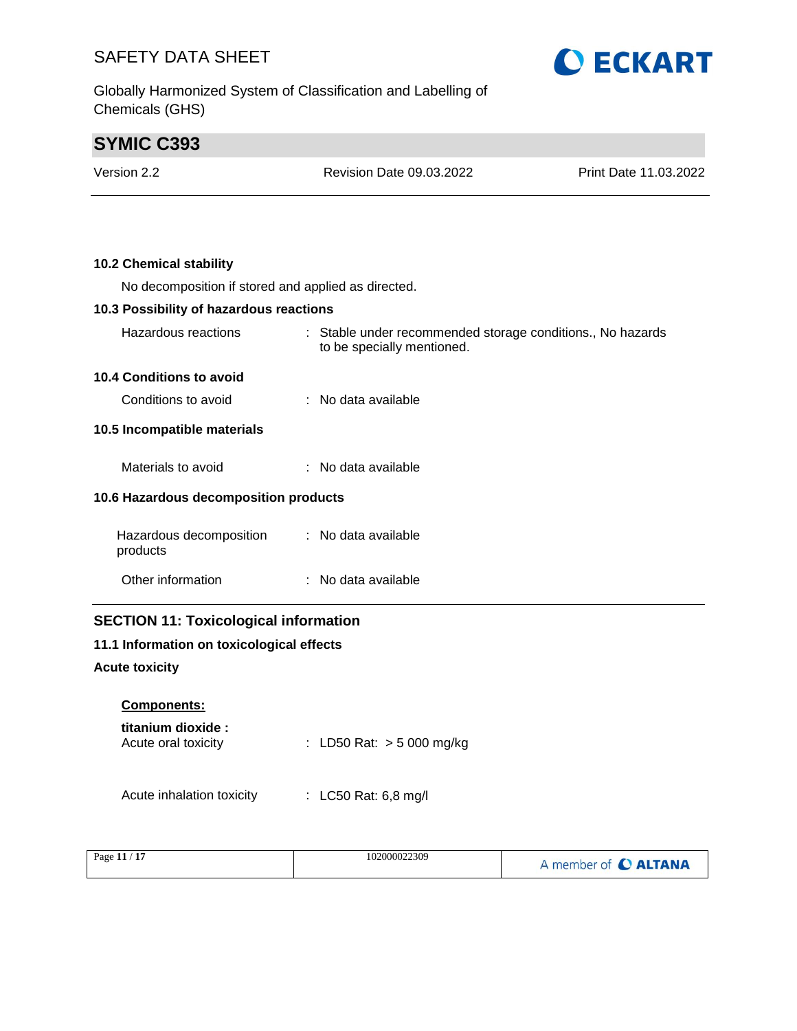Globally Harmonized System of Classification and Labelling of Chemicals (GHS)



# **SYMIC C393**

| Version 2.2                                         | <b>Revision Date 09.03.2022</b>                                                          | Print Date 11.03.2022 |
|-----------------------------------------------------|------------------------------------------------------------------------------------------|-----------------------|
|                                                     |                                                                                          |                       |
| <b>10.2 Chemical stability</b>                      |                                                                                          |                       |
| No decomposition if stored and applied as directed. |                                                                                          |                       |
| 10.3 Possibility of hazardous reactions             |                                                                                          |                       |
| Hazardous reactions                                 | : Stable under recommended storage conditions., No hazards<br>to be specially mentioned. |                       |
| <b>10.4 Conditions to avoid</b>                     |                                                                                          |                       |
| Conditions to avoid                                 | : No data available                                                                      |                       |
| 10.5 Incompatible materials                         |                                                                                          |                       |
| Materials to avoid                                  | : No data available                                                                      |                       |
| 10.6 Hazardous decomposition products               |                                                                                          |                       |
| Hazardous decomposition<br>products                 | : No data available                                                                      |                       |
| Other information                                   | : No data available                                                                      |                       |
| <b>SECTION 11: Toxicological information</b>        |                                                                                          |                       |
| 11.1 Information on toxicological effects           |                                                                                          |                       |

#### **Acute toxicity**

| <b>Components:</b> |  |
|--------------------|--|
|                    |  |

| titanium dioxide :  |                             |
|---------------------|-----------------------------|
| Acute oral toxicity | : LD50 Rat: $>$ 5 000 mg/kg |

Acute inhalation toxicity : LC50 Rat: 6,8 mg/l

| Page $11/17$ | 102000022309 | A member of C ALTANA |
|--------------|--------------|----------------------|
|--------------|--------------|----------------------|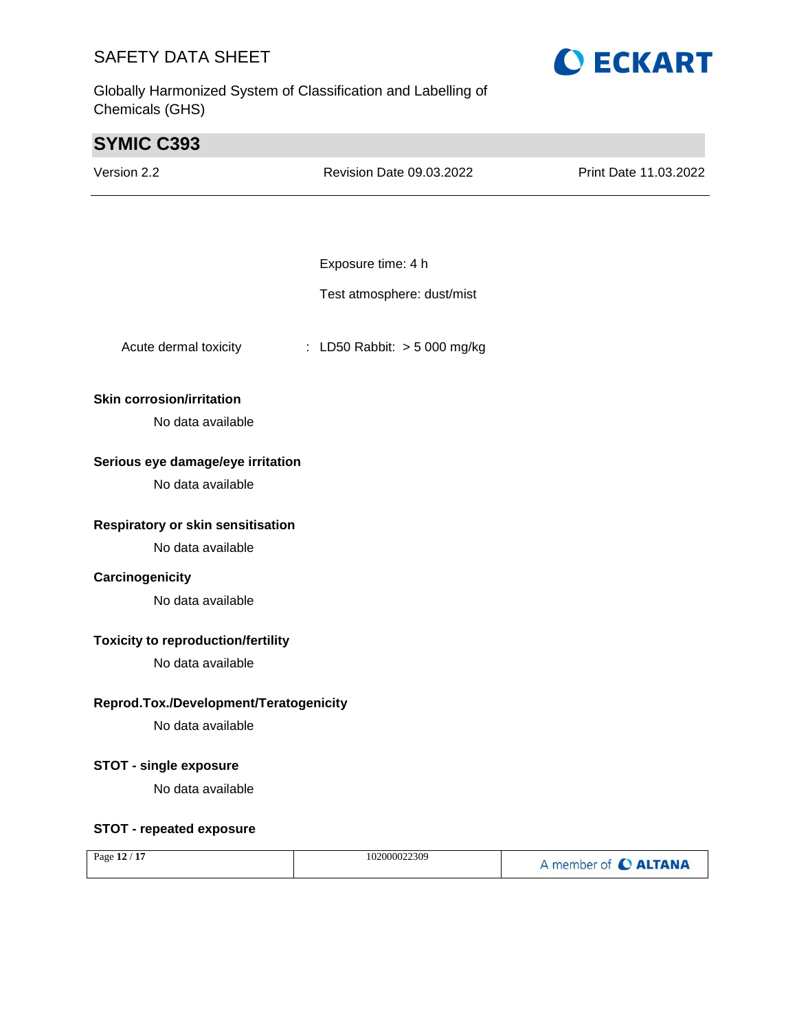Globally Harmonized System of Classification and Labelling of Chemicals (GHS)



| <b>SYMIC C393</b>                         |                              |                       |
|-------------------------------------------|------------------------------|-----------------------|
| Version 2.2                               | Revision Date 09.03.2022     | Print Date 11.03.2022 |
|                                           |                              |                       |
|                                           |                              |                       |
|                                           | Exposure time: 4 h           |                       |
|                                           | Test atmosphere: dust/mist   |                       |
| Acute dermal toxicity                     | : LD50 Rabbit: > 5 000 mg/kg |                       |
| <b>Skin corrosion/irritation</b>          |                              |                       |
| No data available                         |                              |                       |
| Serious eye damage/eye irritation         |                              |                       |
| No data available                         |                              |                       |
| Respiratory or skin sensitisation         |                              |                       |
| No data available                         |                              |                       |
| Carcinogenicity                           |                              |                       |
| No data available                         |                              |                       |
| <b>Toxicity to reproduction/fertility</b> |                              |                       |
| No data available                         |                              |                       |
| Reprod.Tox./Development/Teratogenicity    |                              |                       |
| No data available                         |                              |                       |
| <b>STOT - single exposure</b>             |                              |                       |
| No data available                         |                              |                       |
| <b>STOT - repeated exposure</b>           |                              |                       |
| Page 12 / 17                              | 102000022309                 | A member of C ALTANA  |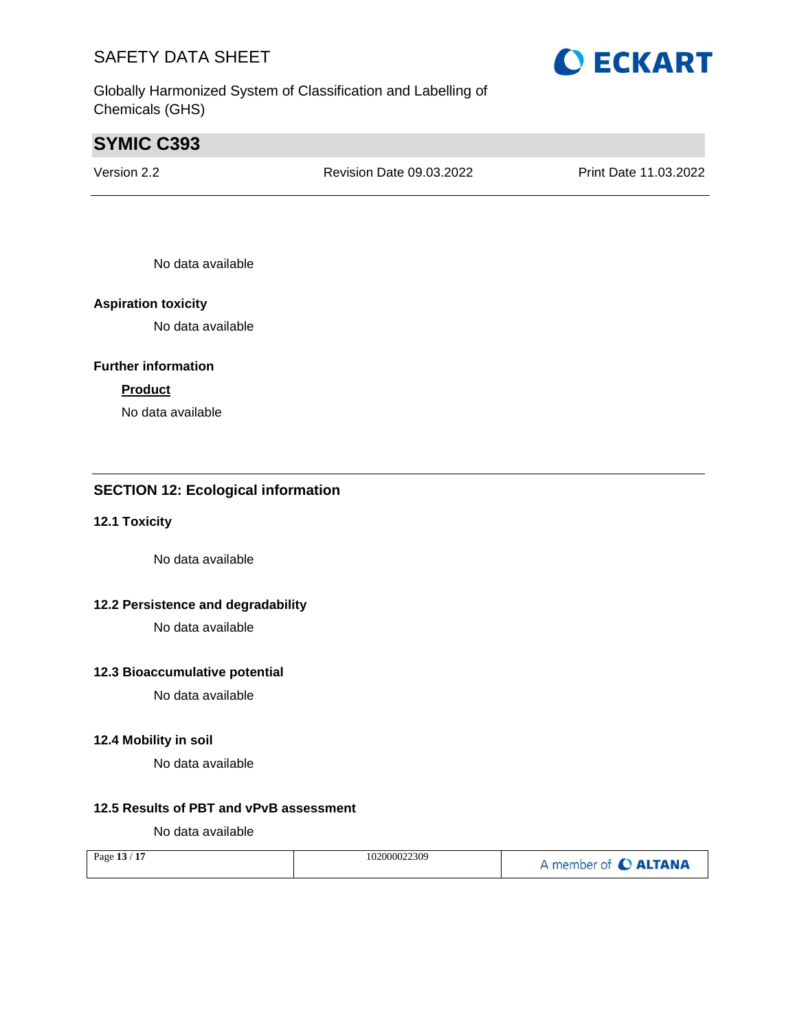Globally Harmonized System of Classification and Labelling of Chemicals (GHS)

# **SYMIC C393**

Version 2.2 Revision Date 09.03.2022 Print Date 11.03.2022

No data available

#### **Aspiration toxicity**

No data available

#### **Further information**

#### **Product**

No data available

### **SECTION 12: Ecological information**

#### **12.1 Toxicity**

No data available

#### **12.2 Persistence and degradability**

No data available

#### **12.3 Bioaccumulative potential**

No data available

#### **12.4 Mobility in soil**

No data available

#### **12.5 Results of PBT and vPvB assessment**

No data available

| Page 13 / 17 | 102000022309 | A member of C ALTANA |
|--------------|--------------|----------------------|
|--------------|--------------|----------------------|

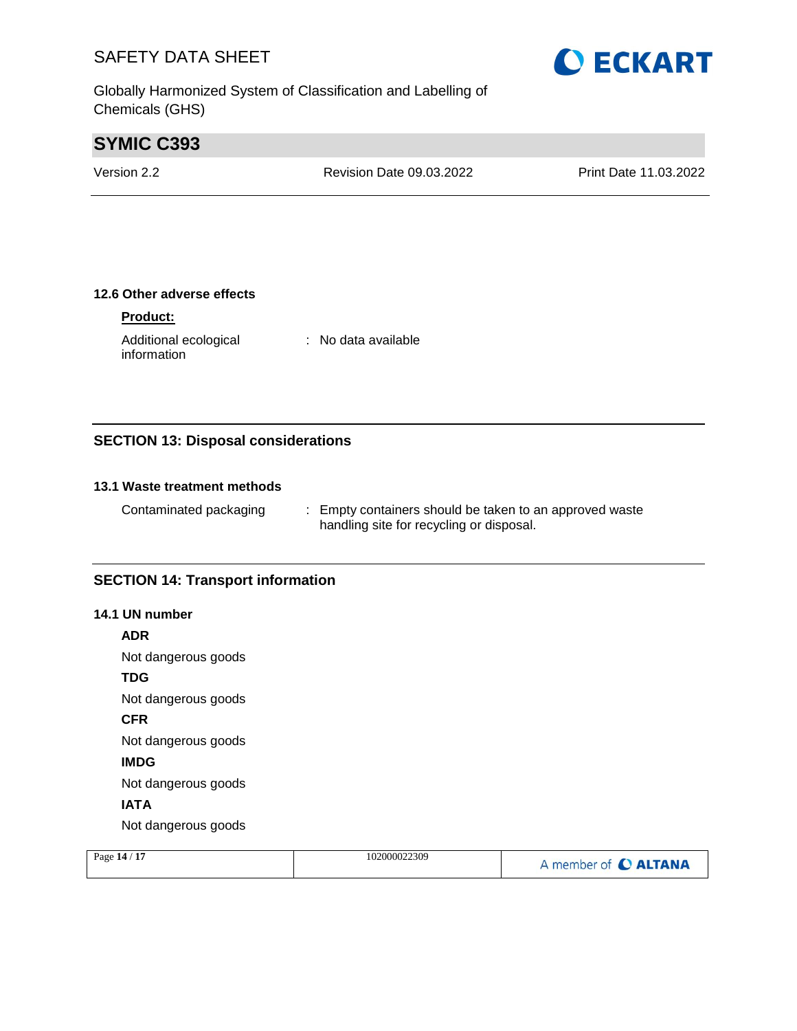Globally Harmonized System of Classification and Labelling of Chemicals (GHS)

# **SYMIC C393**

| Print Date 11.03.2022           |
|---------------------------------|
| <b>Revision Date 09.03.2022</b> |

#### **12.6 Other adverse effects**

#### **Product:**

Additional ecological information : No data available

#### **SECTION 13: Disposal considerations**

#### **13.1 Waste treatment methods**

Contaminated packaging : Empty containers should be taken to an approved waste handling site for recycling or disposal.

#### **SECTION 14: Transport information**

#### **14.1 UN number**

**ADR**

Not dangerous goods

**TDG**

Not dangerous goods

**CFR**

Not dangerous goods

**IMDG**

Not dangerous goods

#### **IATA**

Not dangerous goods

| Page 14 / 17 | 102000022309 | A member of C ALTANA |
|--------------|--------------|----------------------|
|--------------|--------------|----------------------|

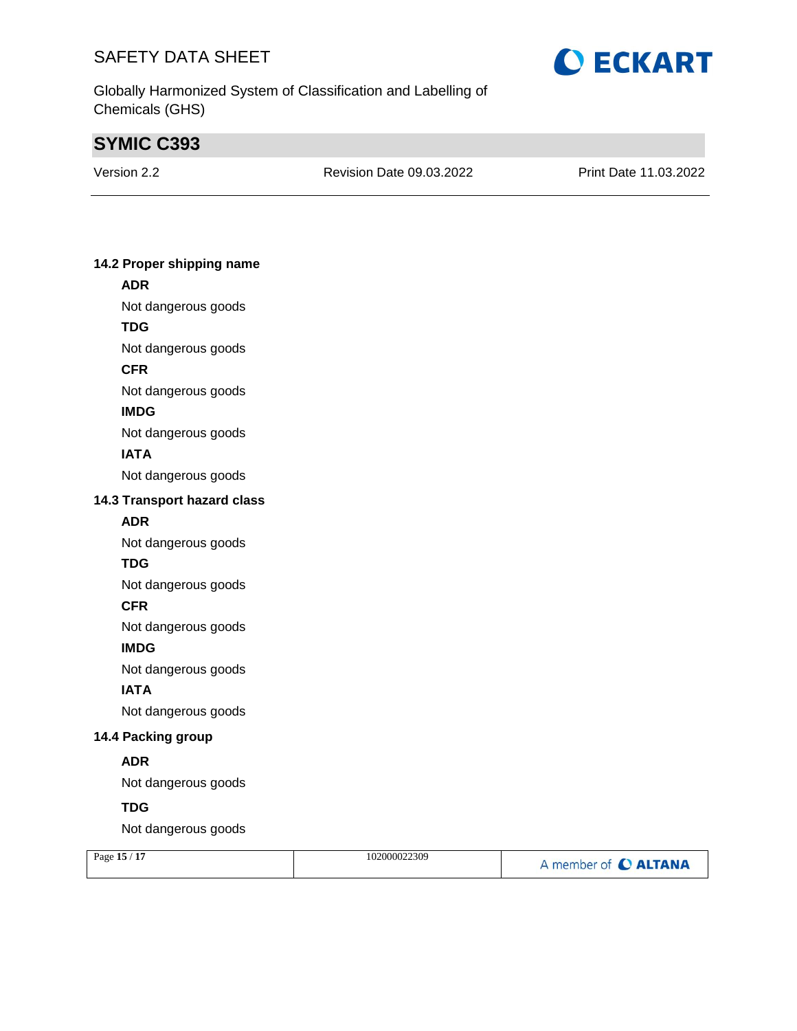

Globally Harmonized System of Classification and Labelling of Chemicals (GHS)

# **SYMIC C393**

| Version 2.2 | Revisior |
|-------------|----------|

n Date 09.03.2022 Print Date 11.03.2022

#### **14.2 Proper shipping name ADR**

- Not dangerous goods
- **TDG**
- Not dangerous goods
- **CFR**
- Not dangerous goods
- **IMDG**
- Not dangerous goods

#### **IATA**

Not dangerous goods

#### **14.3 Transport hazard class**

#### **ADR**

Not dangerous goods

#### **TDG**

Not dangerous goods

#### **CFR**

Not dangerous goods

#### **IMDG**

Not dangerous goods

#### **IATA**

Not dangerous goods

#### **14.4 Packing group**

#### **ADR**

Not dangerous goods

### **TDG**

Not dangerous goods

| Page 15 / 17 | 102000022309 | A member of C ALTANA |
|--------------|--------------|----------------------|
|              |              |                      |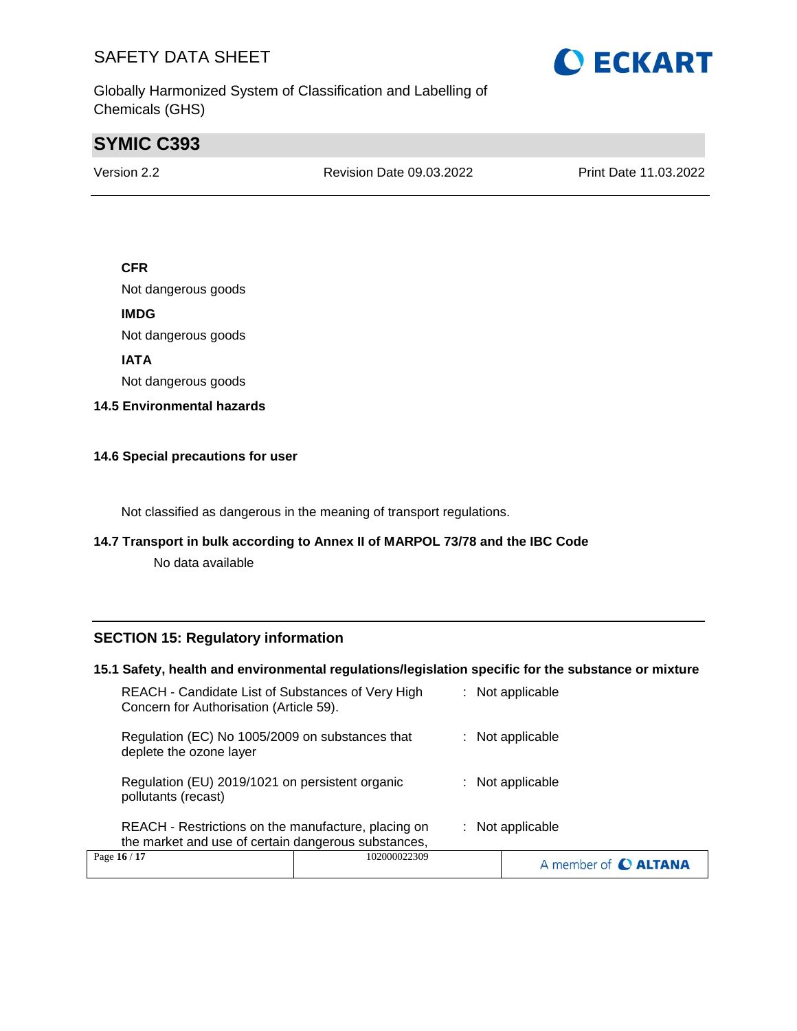Globally Harmonized System of Classification and Labelling of Chemicals (GHS)

# **SYMIC C393**

Version 2.2 Revision Date 09.03.2022 Print Date 11.03.2022

#### **CFR**

Not dangerous goods

**IMDG**

Not dangerous goods

**IATA**

Not dangerous goods

**14.5 Environmental hazards**

#### **14.6 Special precautions for user**

Not classified as dangerous in the meaning of transport regulations.

#### **14.7 Transport in bulk according to Annex II of MARPOL 73/78 and the IBC Code**

No data available

#### **SECTION 15: Regulatory information**

#### **15.1 Safety, health and environmental regulations/legislation specific for the substance or mixture**

| Page 16 / 17                                                                                               | 102000022309 | A member of C ALTANA |
|------------------------------------------------------------------------------------------------------------|--------------|----------------------|
| REACH - Restrictions on the manufacture, placing on<br>the market and use of certain dangerous substances, |              | $:$ Not applicable   |
| Regulation (EU) 2019/1021 on persistent organic<br>pollutants (recast)                                     |              | $:$ Not applicable   |
| Regulation (EC) No 1005/2009 on substances that<br>deplete the ozone layer                                 |              | $:$ Not applicable   |
| REACH - Candidate List of Substances of Very High<br>Concern for Authorisation (Article 59).               |              | $:$ Not applicable   |